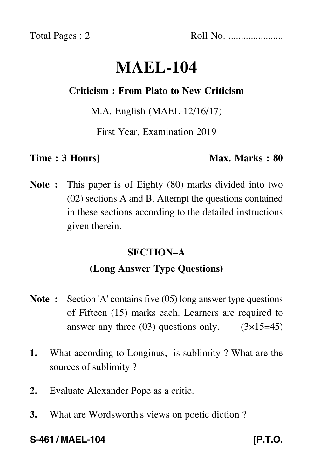Total Pages : 2 Roll No. ......................

# **MAEL-104**

### **Criticism : From Plato to New Criticism**

M.A. English (MAEL-12/16/17)

First Year, Examination 2019

**Time : 3 Hours** Max. Marks : 80

**Note :** This paper is of Eighty (80) marks divided into two (02) sections A and B. Attempt the questions contained in these sections according to the detailed instructions given therein.

# **SECTION–A**

# **(Long Answer Type Questions)**

- **Note :** Section 'A' contains five (05) long answer type questions of Fifteen (15) marks each. Learners are required to answer any three  $(03)$  questions only.  $(3\times15=45)$
- **1.** What according to Longinus, is sublimity ? What are the sources of sublimity ?
- **2.** Evaluate Alexander Pope as a critic.
- **3.** What are Wordsworth's views on poetic diction ?

#### **S-461 / MAEL-104** *IP.T.O.*